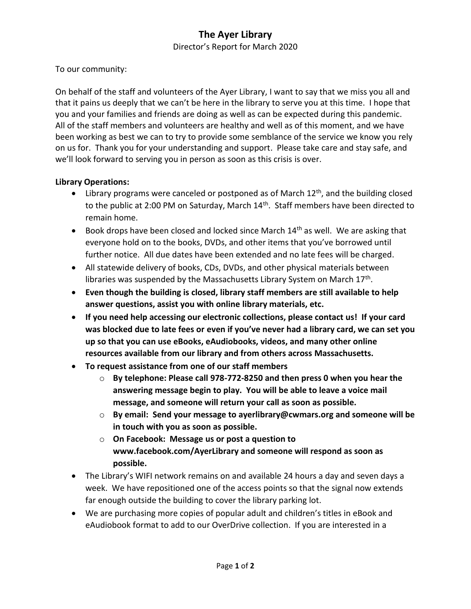## **The Ayer Library**

Director's Report for March 2020

To our community:

On behalf of the staff and volunteers of the Ayer Library, I want to say that we miss you all and that it pains us deeply that we can't be here in the library to serve you at this time. I hope that you and your families and friends are doing as well as can be expected during this pandemic. All of the staff members and volunteers are healthy and well as of this moment, and we have been working as best we can to try to provide some semblance of the service we know you rely on us for. Thank you for your understanding and support. Please take care and stay safe, and we'll look forward to serving you in person as soon as this crisis is over.

## **Library Operations:**

- $\bullet$  Library programs were canceled or postponed as of March 12<sup>th</sup>, and the building closed to the public at 2:00 PM on Saturday, March 14<sup>th</sup>. Staff members have been directed to remain home.
- Book drops have been closed and locked since March  $14<sup>th</sup>$  as well. We are asking that everyone hold on to the books, DVDs, and other items that you've borrowed until further notice. All due dates have been extended and no late fees will be charged.
- All statewide delivery of books, CDs, DVDs, and other physical materials between libraries was suspended by the Massachusetts Library System on March 17<sup>th</sup>.
- **Even though the building is closed, library staff members are still available to help answer questions, assist you with online library materials, etc.**
- **If you need help accessing our electronic collections, please contact us! If your card was blocked due to late fees or even if you've never had a library card, we can set you up so that you can use eBooks, eAudiobooks, videos, and many other online resources available from our library and from others across Massachusetts.**
- **To request assistance from one of our staff members**
	- o **By telephone: Please call 978-772-8250 and then press 0 when you hear the answering message begin to play. You will be able to leave a voice mail message, and someone will return your call as soon as possible.**
	- o **By email: Send your message to ayerlibrary@cwmars.org and someone will be in touch with you as soon as possible.**
	- o **On Facebook: Message us or post a question to www.facebook.com/AyerLibrary and someone will respond as soon as possible.**
- The Library's WIFI network remains on and available 24 hours a day and seven days a week. We have repositioned one of the access points so that the signal now extends far enough outside the building to cover the library parking lot.
- We are purchasing more copies of popular adult and children's titles in eBook and eAudiobook format to add to our OverDrive collection. If you are interested in a